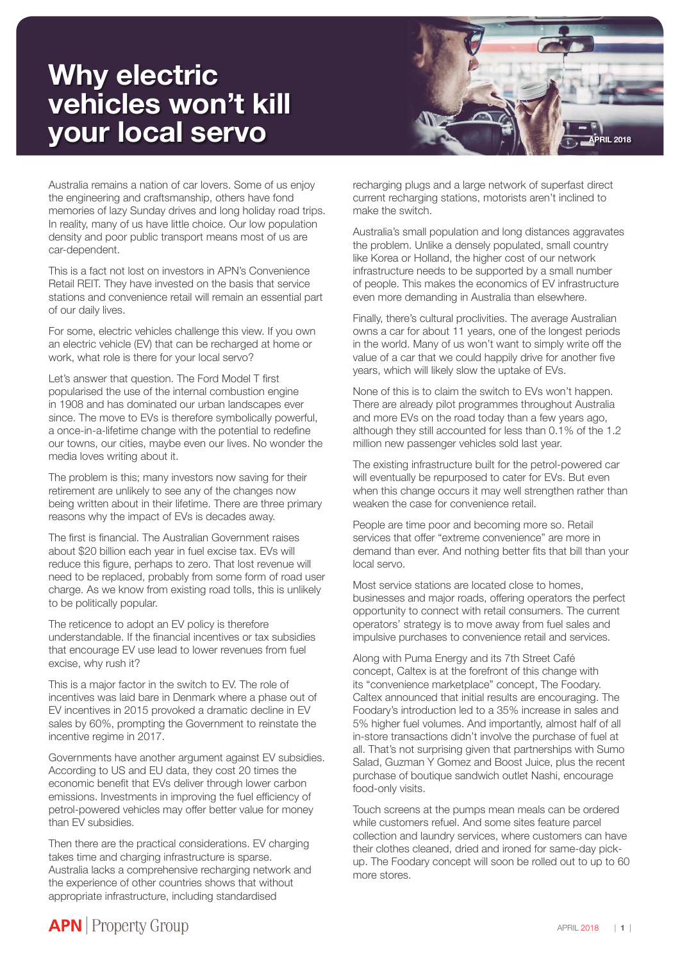## **Why electric vehicles won't kill**



Australia remains a nation of car lovers. Some of us enjoy the engineering and craftsmanship, others have fond memories of lazy Sunday drives and long holiday road trips. In reality, many of us have little choice. Our low population density and poor public transport means most of us are car-dependent.

This is a fact not lost on investors in APN's Convenience Retail REIT. They have invested on the basis that service stations and convenience retail will remain an essential part of our daily lives.

For some, electric vehicles challenge this view. If you own an electric vehicle (EV) that can be recharged at home or work, what role is there for your local servo?

Let's answer that question. The Ford Model T first popularised the use of the internal combustion engine in 1908 and has dominated our urban landscapes ever since. The move to EVs is therefore symbolically powerful, a once-in-a-lifetime change with the potential to redefine our towns, our cities, maybe even our lives. No wonder the media loves writing about it.

The problem is this; many investors now saving for their retirement are unlikely to see any of the changes now being written about in their lifetime. There are three primary reasons why the impact of EVs is decades away.

The first is financial. The Australian Government raises about \$20 billion each year in fuel excise tax. EVs will reduce this figure, perhaps to zero. That lost revenue will need to be replaced, probably from some form of road user charge. As we know from existing road tolls, this is unlikely to be politically popular.

The reticence to adopt an EV policy is therefore understandable. If the financial incentives or tax subsidies that encourage EV use lead to lower revenues from fuel excise, why rush it?

This is a major factor in the switch to EV. The role of incentives was laid bare in Denmark where a phase out of EV incentives in 2015 provoked a dramatic decline in EV sales by 60%, prompting the Government to reinstate the incentive regime in 2017.

Governments have another argument against EV subsidies. According to US and EU data, they cost 20 times the economic benefit that EVs deliver through lower carbon emissions. Investments in improving the fuel efficiency of petrol-powered vehicles may offer better value for money than EV subsidies.

Then there are the practical considerations. EV charging takes time and charging infrastructure is sparse. Australia lacks a comprehensive recharging network and the experience of other countries shows that without appropriate infrastructure, including standardised

recharging plugs and a large network of superfast direct current recharging stations, motorists aren't inclined to make the switch.

Australia's small population and long distances aggravates the problem. Unlike a densely populated, small country like Korea or Holland, the higher cost of our network infrastructure needs to be supported by a small number of people. This makes the economics of EV infrastructure even more demanding in Australia than elsewhere.

Finally, there's cultural proclivities. The average Australian owns a car for about 11 years, one of the longest periods in the world. Many of us won't want to simply write off the value of a car that we could happily drive for another five years, which will likely slow the uptake of EVs.

None of this is to claim the switch to EVs won't happen. There are already pilot programmes throughout Australia and more EVs on the road today than a few years ago, although they still accounted for less than 0.1% of the 1.2 million new passenger vehicles sold last year.

The existing infrastructure built for the petrol-powered car will eventually be repurposed to cater for EVs. But even when this change occurs it may well strengthen rather than weaken the case for convenience retail.

People are time poor and becoming more so. Retail services that offer "extreme convenience" are more in demand than ever. And nothing better fits that bill than your local servo.

Most service stations are located close to homes, businesses and major roads, offering operators the perfect opportunity to connect with retail consumers. The current operators' strategy is to move away from fuel sales and impulsive purchases to convenience retail and services.

Along with Puma Energy and its 7th Street Café concept, Caltex is at the forefront of this change with its "convenience marketplace" concept, The Foodary. Caltex announced that initial results are encouraging. The Foodary's introduction led to a 35% increase in sales and 5% higher fuel volumes. And importantly, almost half of all in-store transactions didn't involve the purchase of fuel at all. That's not surprising given that partnerships with Sumo Salad, Guzman Y Gomez and Boost Juice, plus the recent purchase of boutique sandwich outlet Nashi, encourage food-only visits.

Touch screens at the pumps mean meals can be ordered while customers refuel. And some sites feature parcel collection and laundry services, where customers can have their clothes cleaned, dried and ironed for same-day pickup. The Foodary concept will soon be rolled out to up to 60 more stores.

## **APN** Property Group